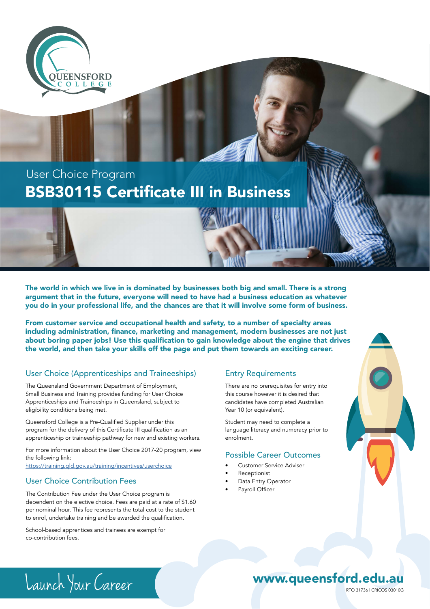

## BSB30115 Certificate III in Business User Choice Program

The world in which we live in is dominated by businesses both big and small. There is a strong argument that in the future, everyone will need to have had a business education as whatever you do in your professional life, and the chances are that it will involve some form of business.

From customer service and occupational health and safety, to a number of specialty areas including administration, finance, marketing and management, modern businesses are not just about boring paper jobs! Use this qualification to gain knowledge about the engine that drives the world, and then take your skills off the page and put them towards an exciting career.

## User Choice (Apprenticeships and Traineeships)

The Queensland Government Department of Employment, Small Business and Training provides funding for User Choice Apprenticeships and Traineeships in Queensland, subject to eligibility conditions being met.

Queensford College is a Pre-Qualified Supplier under this program for the delivery of this Certificate III qualification as an apprenticeship or traineeship pathway for new and existing workers.

For more information about the User Choice 2017-20 program, view the following link:

<https://training.qld.gov.au/training/incentives/userchoice>

## User Choice Contribution Fees

The Contribution Fee under the User Choice program is dependent on the elective choice. Fees are paid at a rate of \$1.60 per nominal hour. This fee represents the total cost to the student to enrol, undertake training and be awarded the qualification.

School-based apprentices and trainees are exempt for co-contribution fees.

### Entry Requirements

There are no prerequisites for entry into this course however it is desired that candidates have completed Australian Year 10 (or equivalent).

Student may need to complete a language literacy and numeracy prior to enrolment.

### Possible Career Outcomes

- Customer Service Adviser
- **Receptionist**
- Data Entry Operator
- Payroll Officer



# Launch Your Career RTO 31736 | CRICOS 03010G